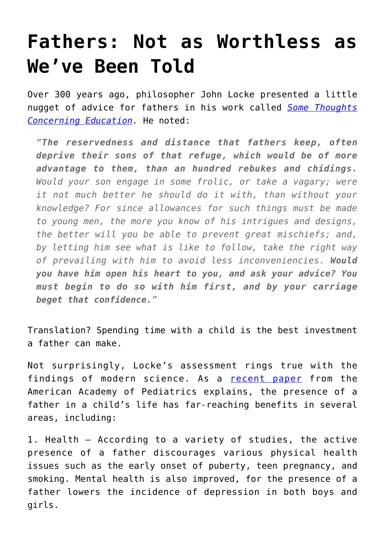## **[Fathers: Not as Worthless as](https://intellectualtakeout.org/2016/06/fathers-not-as-worthless-as-weve-been-told/) [We've Been Told](https://intellectualtakeout.org/2016/06/fathers-not-as-worthless-as-weve-been-told/)**

Over 300 years ago, philosopher John Locke presented a little nugget of advice for fathers in his work called *[Some Thoughts](http://oll.libertyfund.org/titles/locke-the-works-vol-8-some-thoughts-concerning-education-posthumous-works-familiar-letters) [Concerning Education](http://oll.libertyfund.org/titles/locke-the-works-vol-8-some-thoughts-concerning-education-posthumous-works-familiar-letters).* He noted:

*"The reservedness and distance that fathers keep, often deprive their sons of that refuge, which would be of more advantage to them, than an hundred rebukes and chidings. Would your son engage in some frolic, or take a vagary; were it not much better he should do it with, than without your knowledge? For since allowances for such things must be made to young men, the more you know of his intrigues and designs, the better will you be able to prevent great mischiefs; and, by letting him see what is like to follow, take the right way of prevailing with him to avoid less inconveniencies. Would you have him open his heart to you, and ask your advice? You must begin to do so with him first, and by your carriage beget that confidence."*

Translation? Spending time with a child is the best investment a father can make.

Not surprisingly, Locke's assessment rings true with the findings of modern science. As a [recent paper](http://pediatrics.aappublications.org/content/pediatrics/early/2016/06/10/peds.2016-1128.full.pdf) from the American Academy of Pediatrics explains, the presence of a father in a child's life has far-reaching benefits in several areas, including:

1. Health – According to a variety of studies, the active presence of a father discourages various physical health issues such as the early onset of puberty, teen pregnancy, and smoking. Mental health is also improved, for the presence of a father lowers the incidence of depression in both boys and girls.